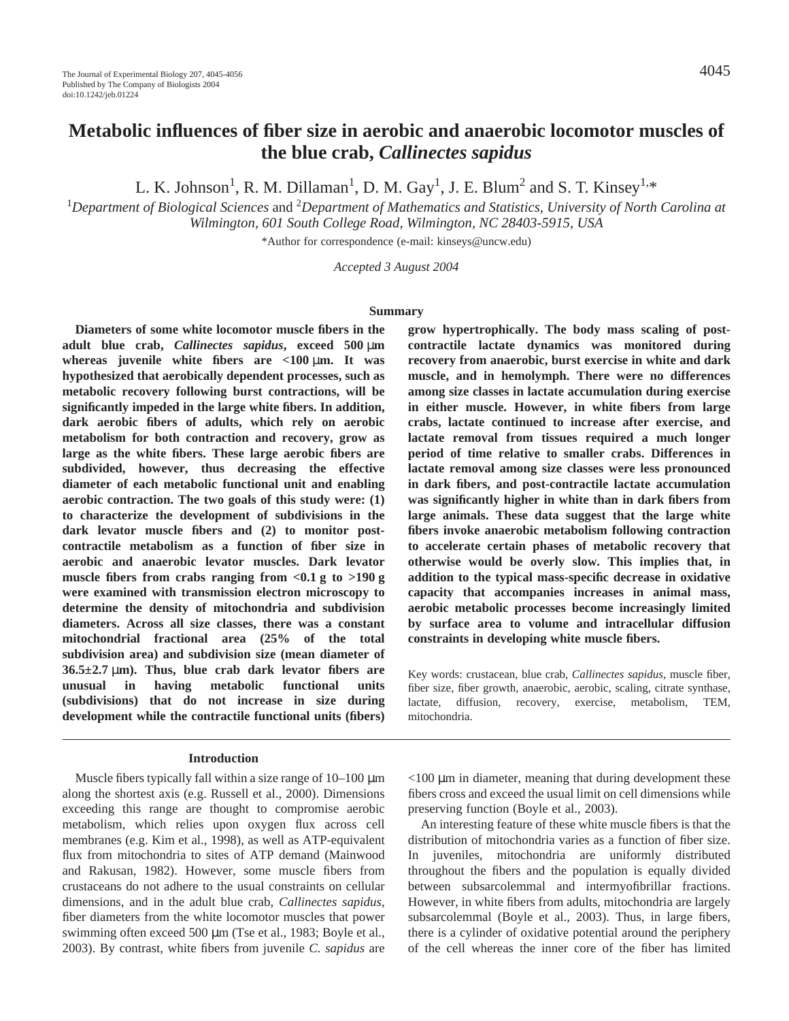# **Metabolic influences of fiber size in aerobic and anaerobic locomotor muscles of the blue crab,** *Callinectes sapidus*

L. K. Johnson<sup>1</sup>, R. M. Dillaman<sup>1</sup>, D. M. Gay<sup>1</sup>, J. E. Blum<sup>2</sup> and S. T. Kinsey<sup>1,\*</sup>

<sup>1</sup>Department of Biological Sciences and <sup>2</sup>Department of Mathematics and Statistics, University of North Carolina at *Wilmington, 601 South College Road, Wilmington, NC 28403-5915, USA*

\*Author for correspondence (e-mail: kinseys@uncw.edu)

*Accepted 3 August 2004*

#### **Summary**

**Diameters of some white locomotor muscle fibers in the adult blue crab,** *Callinectes sapidus***, exceed 500·**µ**m** whereas juvenile white fibers are <100  $\mu$ m. It was **hypothesized that aerobically dependent processes, such as metabolic recovery following burst contractions, will be significantly impeded in the large white fibers. In addition, dark aerobic fibers of adults, which rely on aerobic metabolism for both contraction and recovery, grow as large as the white fibers. These large aerobic fibers are subdivided, however, thus decreasing the effective diameter of each metabolic functional unit and enabling aerobic contraction. The two goals of this study were: (1) to characterize the development of subdivisions in the dark levator muscle fibers and (2) to monitor postcontractile metabolism as a function of fiber size in aerobic and anaerobic levator muscles. Dark levator** muscle fibers from crabs ranging from  $< 0.1$  g to  $> 190$  g **were examined with transmission electron microscopy to determine the density of mitochondria and subdivision diameters. Across all size classes, there was a constant mitochondrial fractional area (25% of the total subdivision area) and subdivision size (mean diameter of 36.5±2.7·**µ**m). Thus, blue crab dark levator fibers are unusual in having metabolic functional units (subdivisions) that do not increase in size during development while the contractile functional units (fibers)**

### **Introduction**

Muscle fibers typically fall within a size range of  $10-100~\mu m$ along the shortest axis (e.g. Russell et al., 2000). Dimensions exceeding this range are thought to compromise aerobic metabolism, which relies upon oxygen flux across cell membranes (e.g. Kim et al., 1998), as well as ATP-equivalent flux from mitochondria to sites of ATP demand (Mainwood and Rakusan, 1982). However, some muscle fibers from crustaceans do not adhere to the usual constraints on cellular dimensions, and in the adult blue crab, *Callinectes sapidus*, fiber diameters from the white locomotor muscles that power swimming often exceed 500  $\mu$ m (Tse et al., 1983; Boyle et al., 2003). By contrast, white fibers from juvenile *C. sapidus* are **grow hypertrophically. The body mass scaling of postcontractile lactate dynamics was monitored during recovery from anaerobic, burst exercise in white and dark muscle, and in hemolymph. There were no differences among size classes in lactate accumulation during exercise in either muscle. However, in white fibers from large crabs, lactate continued to increase after exercise, and lactate removal from tissues required a much longer period of time relative to smaller crabs. Differences in lactate removal among size classes were less pronounced in dark fibers, and post-contractile lactate accumulation was significantly higher in white than in dark fibers from large animals. These data suggest that the large white fibers invoke anaerobic metabolism following contraction to accelerate certain phases of metabolic recovery that otherwise would be overly slow. This implies that, in addition to the typical mass-specific decrease in oxidative capacity that accompanies increases in animal mass, aerobic metabolic processes become increasingly limited by surface area to volume and intracellular diffusion constraints in developing white muscle fibers.**

Key words: crustacean, blue crab, *Callinectes sapidus*, muscle fiber, fiber size, fiber growth, anaerobic, aerobic, scaling, citrate synthase, lactate, diffusion, recovery, exercise, metabolism, TEM, mitochondria.

 $<$ 100  $\mu$ m in diameter, meaning that during development these fibers cross and exceed the usual limit on cell dimensions while preserving function (Boyle et al., 2003).

An interesting feature of these white muscle fibers is that the distribution of mitochondria varies as a function of fiber size. In juveniles, mitochondria are uniformly distributed throughout the fibers and the population is equally divided between subsarcolemmal and intermyofibrillar fractions. However, in white fibers from adults, mitochondria are largely subsarcolemmal (Boyle et al., 2003). Thus, in large fibers, there is a cylinder of oxidative potential around the periphery of the cell whereas the inner core of the fiber has limited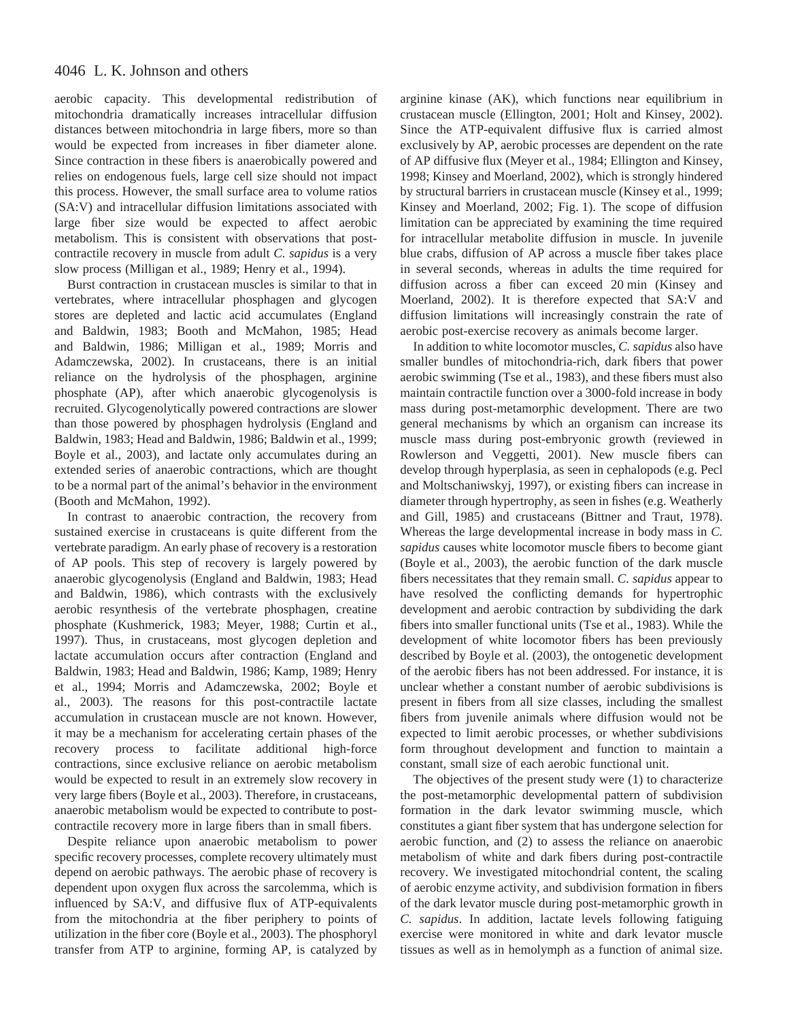aerobic capacity. This developmental redistribution of mitochondria dramatically increases intracellular diffusion distances between mitochondria in large fibers, more so than would be expected from increases in fiber diameter alone. Since contraction in these fibers is anaerobically powered and relies on endogenous fuels, large cell size should not impact this process. However, the small surface area to volume ratios (SA:V) and intracellular diffusion limitations associated with large fiber size would be expected to affect aerobic metabolism. This is consistent with observations that postcontractile recovery in muscle from adult *C. sapidus* is a very slow process (Milligan et al., 1989; Henry et al., 1994).

Burst contraction in crustacean muscles is similar to that in vertebrates, where intracellular phosphagen and glycogen stores are depleted and lactic acid accumulates (England and Baldwin, 1983; Booth and McMahon, 1985; Head and Baldwin, 1986; Milligan et al., 1989; Morris and Adamczewska, 2002). In crustaceans, there is an initial reliance on the hydrolysis of the phosphagen, arginine phosphate (AP), after which anaerobic glycogenolysis is recruited. Glycogenolytically powered contractions are slower than those powered by phosphagen hydrolysis (England and Baldwin, 1983; Head and Baldwin, 1986; Baldwin et al., 1999; Boyle et al., 2003), and lactate only accumulates during an extended series of anaerobic contractions, which are thought to be a normal part of the animal's behavior in the environment (Booth and McMahon, 1992).

In contrast to anaerobic contraction, the recovery from sustained exercise in crustaceans is quite different from the vertebrate paradigm. An early phase of recovery is a restoration of AP pools. This step of recovery is largely powered by anaerobic glycogenolysis (England and Baldwin, 1983; Head and Baldwin, 1986), which contrasts with the exclusively aerobic resynthesis of the vertebrate phosphagen, creatine phosphate (Kushmerick, 1983; Meyer, 1988; Curtin et al., 1997). Thus, in crustaceans, most glycogen depletion and lactate accumulation occurs after contraction (England and Baldwin, 1983; Head and Baldwin, 1986; Kamp, 1989; Henry et al., 1994; Morris and Adamczewska, 2002; Boyle et al., 2003). The reasons for this post-contractile lactate accumulation in crustacean muscle are not known. However, it may be a mechanism for accelerating certain phases of the recovery process to facilitate additional high-force contractions, since exclusive reliance on aerobic metabolism would be expected to result in an extremely slow recovery in very large fibers (Boyle et al., 2003). Therefore, in crustaceans, anaerobic metabolism would be expected to contribute to postcontractile recovery more in large fibers than in small fibers.

Despite reliance upon anaerobic metabolism to power specific recovery processes, complete recovery ultimately must depend on aerobic pathways. The aerobic phase of recovery is dependent upon oxygen flux across the sarcolemma, which is influenced by SA:V, and diffusive flux of ATP-equivalents from the mitochondria at the fiber periphery to points of utilization in the fiber core (Boyle et al., 2003). The phosphoryl transfer from ATP to arginine, forming AP, is catalyzed by

arginine kinase (AK), which functions near equilibrium in crustacean muscle (Ellington, 2001; Holt and Kinsey, 2002). Since the ATP-equivalent diffusive flux is carried almost exclusively by AP, aerobic processes are dependent on the rate of AP diffusive flux (Meyer et al., 1984; Ellington and Kinsey, 1998; Kinsey and Moerland, 2002), which is strongly hindered by structural barriers in crustacean muscle (Kinsey et al., 1999; Kinsey and Moerland, 2002; Fig. 1). The scope of diffusion limitation can be appreciated by examining the time required for intracellular metabolite diffusion in muscle. In juvenile blue crabs, diffusion of AP across a muscle fiber takes place in several seconds, whereas in adults the time required for diffusion across a fiber can exceed 20 min (Kinsey and Moerland, 2002). It is therefore expected that SA:V and diffusion limitations will increasingly constrain the rate of aerobic post-exercise recovery as animals become larger.

In addition to white locomotor muscles, *C. sapidus* also have smaller bundles of mitochondria-rich, dark fibers that power aerobic swimming (Tse et al., 1983), and these fibers must also maintain contractile function over a 3000-fold increase in body mass during post-metamorphic development. There are two general mechanisms by which an organism can increase its muscle mass during post-embryonic growth (reviewed in Rowlerson and Veggetti, 2001). New muscle fibers can develop through hyperplasia, as seen in cephalopods (e.g. Pecl and Moltschaniwskyj, 1997), or existing fibers can increase in diameter through hypertrophy, as seen in fishes (e.g. Weatherly and Gill, 1985) and crustaceans (Bittner and Traut, 1978). Whereas the large developmental increase in body mass in *C. sapidus* causes white locomotor muscle fibers to become giant (Boyle et al., 2003), the aerobic function of the dark muscle fibers necessitates that they remain small. *C. sapidus* appear to have resolved the conflicting demands for hypertrophic development and aerobic contraction by subdividing the dark fibers into smaller functional units (Tse et al., 1983). While the development of white locomotor fibers has been previously described by Boyle et al. (2003), the ontogenetic development of the aerobic fibers has not been addressed. For instance, it is unclear whether a constant number of aerobic subdivisions is present in fibers from all size classes, including the smallest fibers from juvenile animals where diffusion would not be expected to limit aerobic processes, or whether subdivisions form throughout development and function to maintain a constant, small size of each aerobic functional unit.

The objectives of the present study were (1) to characterize the post-metamorphic developmental pattern of subdivision formation in the dark levator swimming muscle, which constitutes a giant fiber system that has undergone selection for aerobic function, and (2) to assess the reliance on anaerobic metabolism of white and dark fibers during post-contractile recovery. We investigated mitochondrial content, the scaling of aerobic enzyme activity, and subdivision formation in fibers of the dark levator muscle during post-metamorphic growth in *C. sapidus*. In addition, lactate levels following fatiguing exercise were monitored in white and dark levator muscle tissues as well as in hemolymph as a function of animal size.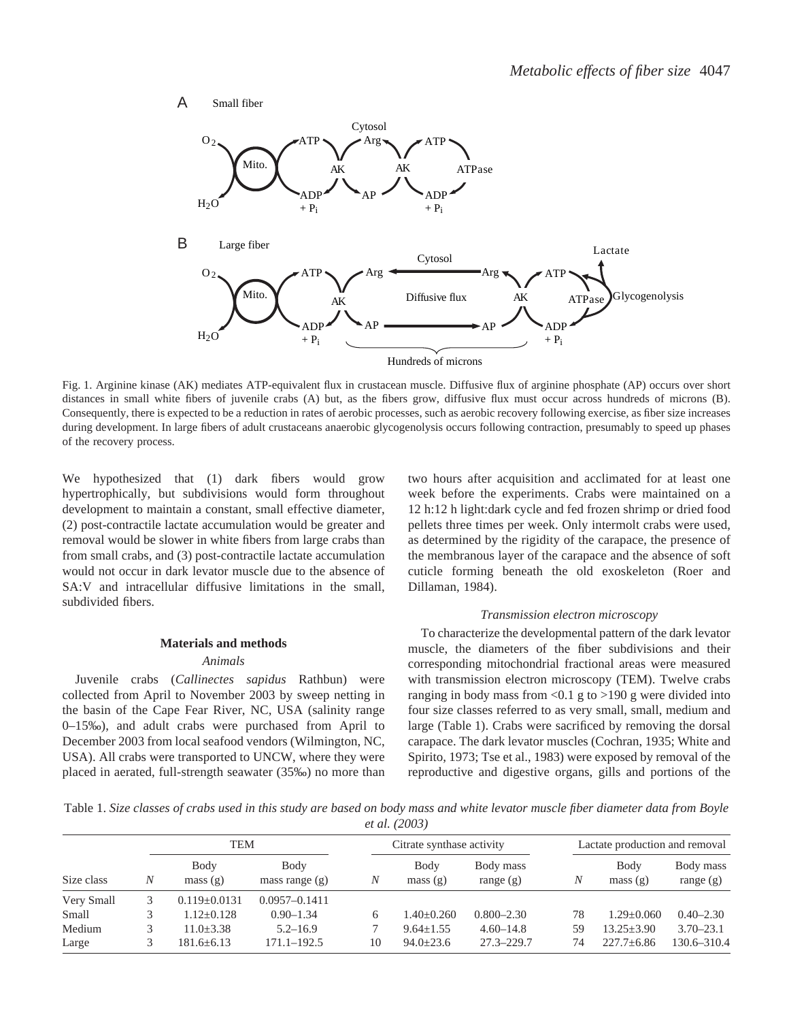

Fig. 1. Arginine kinase (AK) mediates ATP-equivalent flux in crustacean muscle. Diffusive flux of arginine phosphate (AP) occurs over short distances in small white fibers of juvenile crabs (A) but, as the fibers grow, diffusive flux must occur across hundreds of microns (B). Consequently, there is expected to be a reduction in rates of aerobic processes, such as aerobic recovery following exercise, as fiber size increases during development. In large fibers of adult crustaceans anaerobic glycogenolysis occurs following contraction, presumably to speed up phases of the recovery process.

We hypothesized that (1) dark fibers would grow hypertrophically, but subdivisions would form throughout development to maintain a constant, small effective diameter, (2) post-contractile lactate accumulation would be greater and removal would be slower in white fibers from large crabs than from small crabs, and (3) post-contractile lactate accumulation would not occur in dark levator muscle due to the absence of SA:V and intracellular diffusive limitations in the small, subdivided fibers.

## **Materials and methods**

### *Animals*

Juvenile crabs (*Callinectes sapidus* Rathbun) were collected from April to November 2003 by sweep netting in the basin of the Cape Fear River, NC, USA (salinity range 0–15‰), and adult crabs were purchased from April to December 2003 from local seafood vendors (Wilmington, NC, USA). All crabs were transported to UNCW, where they were placed in aerated, full-strength seawater (35‰) no more than two hours after acquisition and acclimated for at least one week before the experiments. Crabs were maintained on a 12 h:12 h light:dark cycle and fed frozen shrimp or dried food pellets three times per week. Only intermolt crabs were used, as determined by the rigidity of the carapace, the presence of the membranous layer of the carapace and the absence of soft cuticle forming beneath the old exoskeleton (Roer and Dillaman, 1984).

# *Transmission electron microscopy*

To characterize the developmental pattern of the dark levator muscle, the diameters of the fiber subdivisions and their corresponding mitochondrial fractional areas were measured with transmission electron microscopy (TEM). Twelve crabs ranging in body mass from  $< 0.1$  g to  $>190$  g were divided into four size classes referred to as very small, small, medium and large (Table 1). Crabs were sacrificed by removing the dorsal carapace. The dark levator muscles (Cochran, 1935; White and Spirito, 1973; Tse et al., 1983) were exposed by removal of the reproductive and digestive organs, gills and portions of the

Table 1. *Size classes of crabs used in this study are based on body mass and white levator muscle fiber diameter data from Boyle et al. (2003)*

| Size class | TEM |                    |                          | Citrate synthase activity |                 |                          | Lactate production and removal |                        |                          |
|------------|-----|--------------------|--------------------------|---------------------------|-----------------|--------------------------|--------------------------------|------------------------|--------------------------|
|            | N   | Body<br>mass(g)    | Body<br>mass range $(g)$ | Ν                         | Body<br>mass(g) | Body mass<br>range $(g)$ | N                              | <b>Body</b><br>mass(g) | Body mass<br>range $(g)$ |
| Very Small |     | $0.119 \pm 0.0131$ | $0.0957 - 0.1411$        |                           |                 |                          |                                |                        |                          |
| Small      |     | $1.12 + 0.128$     | $0.90 - 1.34$            | 6                         | .40 $\pm$ 0.260 | $0.800 - 2.30$           | 78                             | $1.29 + 0.060$         | $0.40 - 2.30$            |
| Medium     |     | $11.0 + 3.38$      | $5.2 - 16.9$             |                           | $9.64 \pm 1.55$ | $4.60 - 14.8$            | 59                             | $13.25 \pm 3.90$       | $3.70 - 23.1$            |
| Large      |     | $181.6 \pm 6.13$   | $171.1 - 192.5$          | 10                        | $94.0 + 23.6$   | $27.3 - 229.7$           | 74                             | $227.7 \pm 6.86$       | 130.6–310.4              |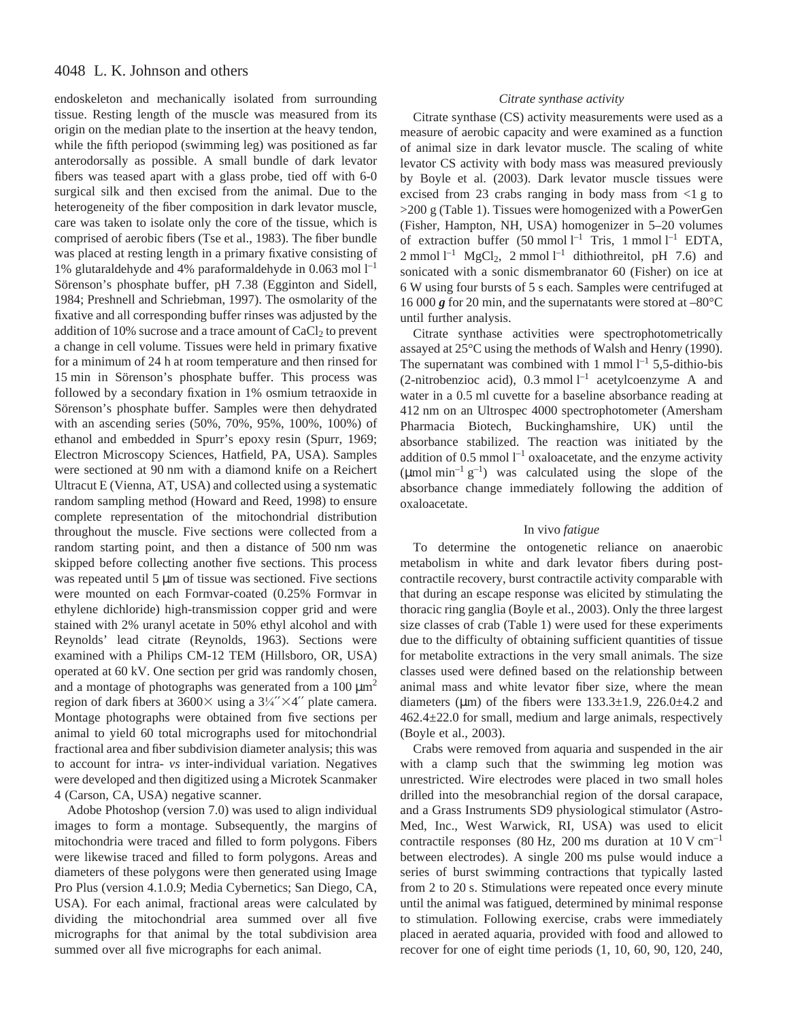endoskeleton and mechanically isolated from surrounding tissue. Resting length of the muscle was measured from its origin on the median plate to the insertion at the heavy tendon, while the fifth periopod (swimming leg) was positioned as far anterodorsally as possible. A small bundle of dark levator fibers was teased apart with a glass probe, tied off with 6-0 surgical silk and then excised from the animal. Due to the heterogeneity of the fiber composition in dark levator muscle, care was taken to isolate only the core of the tissue, which is comprised of aerobic fibers (Tse et al., 1983). The fiber bundle was placed at resting length in a primary fixative consisting of 1% glutaraldehyde and 4% paraformaldehyde in 0.063 mol  $l^{-1}$ Sörenson's phosphate buffer, pH 7.38 (Egginton and Sidell, 1984; Preshnell and Schriebman, 1997). The osmolarity of the fixative and all corresponding buffer rinses was adjusted by the addition of 10% sucrose and a trace amount of  $CaCl<sub>2</sub>$  to prevent a change in cell volume. Tissues were held in primary fixative for a minimum of 24 h at room temperature and then rinsed for 15 min in Sörenson's phosphate buffer. This process was followed by a secondary fixation in 1% osmium tetraoxide in Sörenson's phosphate buffer. Samples were then dehydrated with an ascending series (50%, 70%, 95%, 100%, 100%) of ethanol and embedded in Spurr's epoxy resin (Spurr, 1969; Electron Microscopy Sciences, Hatfield, PA, USA). Samples were sectioned at 90 nm with a diamond knife on a Reichert Ultracut E (Vienna, AT, USA) and collected using a systematic random sampling method (Howard and Reed, 1998) to ensure complete representation of the mitochondrial distribution throughout the muscle. Five sections were collected from a random starting point, and then a distance of 500 nm was skipped before collecting another five sections. This process was repeated until  $5 \mu m$  of tissue was sectioned. Five sections were mounted on each Formvar-coated (0.25% Formvar in ethylene dichloride) high-transmission copper grid and were stained with 2% uranyl acetate in 50% ethyl alcohol and with Reynolds' lead citrate (Reynolds, 1963). Sections were examined with a Philips CM-12 TEM (Hillsboro, OR, USA) operated at 60 kV. One section per grid was randomly chosen, and a montage of photographs was generated from a  $100 \mu m^2$ region of dark fibers at  $3600\times$  using a  $3\frac{1}{4}$  $\times$ 4 $\degree$  plate camera. Montage photographs were obtained from five sections per animal to yield 60 total micrographs used for mitochondrial fractional area and fiber subdivision diameter analysis; this was to account for intra- *vs* inter-individual variation. Negatives were developed and then digitized using a Microtek Scanmaker 4 (Carson, CA, USA) negative scanner.

Adobe Photoshop (version 7.0) was used to align individual images to form a montage. Subsequently, the margins of mitochondria were traced and filled to form polygons. Fibers were likewise traced and filled to form polygons. Areas and diameters of these polygons were then generated using Image Pro Plus (version 4.1.0.9; Media Cybernetics; San Diego, CA, USA). For each animal, fractional areas were calculated by dividing the mitochondrial area summed over all five micrographs for that animal by the total subdivision area summed over all five micrographs for each animal.

# *Citrate synthase activity*

Citrate synthase (CS) activity measurements were used as a measure of aerobic capacity and were examined as a function of animal size in dark levator muscle. The scaling of white levator CS activity with body mass was measured previously by Boyle et al. (2003). Dark levator muscle tissues were excised from 23 crabs ranging in body mass from  $\langle 1$  g to  $>$ 200 g (Table 1). Tissues were homogenized with a PowerGen (Fisher, Hampton, NH, USA) homogenizer in 5–20 volumes of extraction buffer  $(50 \text{ mmol } l^{-1}$  Tris, 1 mmol  $l^{-1}$  EDTA, 2 mmol  $l^{-1}$  MgCl<sub>2</sub>, 2 mmol  $l^{-1}$  dithiothreitol, pH 7.6) and sonicated with a sonic dismembranator 60 (Fisher) on ice at 6·W using four bursts of 5·s each. Samples were centrifuged at 16 000  $\boldsymbol{g}$  for 20 min, and the supernatants were stored at  $-80^{\circ}$ C until further analysis.

Citrate synthase activities were spectrophotometrically assayed at 25°C using the methods of Walsh and Henry (1990). The supernatant was combined with 1 mmol  $l^{-1}$  5,5-dithio-bis (2-nitrobenzioc acid), 0.3 mmol  $l^{-1}$  acetylcoenzyme A and water in a 0.5 ml cuvette for a baseline absorbance reading at 412 nm on an Ultrospec 4000 spectrophotometer (Amersham Pharmacia Biotech, Buckinghamshire, UK) until the absorbance stabilized. The reaction was initiated by the addition of 0.5 mmol  $l^{-1}$  oxaloacetate, and the enzyme activity  $(\text{µmol min}^{-1} \text{ g}^{-1})$  was calculated using the slope of the absorbance change immediately following the addition of oxaloacetate.

#### In vivo *fatigue*

To determine the ontogenetic reliance on anaerobic metabolism in white and dark levator fibers during postcontractile recovery, burst contractile activity comparable with that during an escape response was elicited by stimulating the thoracic ring ganglia (Boyle et al., 2003). Only the three largest size classes of crab (Table 1) were used for these experiments due to the difficulty of obtaining sufficient quantities of tissue for metabolite extractions in the very small animals. The size classes used were defined based on the relationship between animal mass and white levator fiber size, where the mean diameters ( $\mu$ m) of the fibers were 133.3 $\pm$ 1.9, 226.0 $\pm$ 4.2 and 462.4±22.0 for small, medium and large animals, respectively (Boyle et al., 2003).

Crabs were removed from aquaria and suspended in the air with a clamp such that the swimming leg motion was unrestricted. Wire electrodes were placed in two small holes drilled into the mesobranchial region of the dorsal carapace, and a Grass Instruments SD9 physiological stimulator (Astro-Med, Inc., West Warwick, RI, USA) was used to elicit contractile responses (80 Hz, 200 ms duration at  $10 \text{ V cm}^{-1}$ ) between electrodes). A single 200 ms pulse would induce a series of burst swimming contractions that typically lasted from 2 to 20 s. Stimulations were repeated once every minute until the animal was fatigued, determined by minimal response to stimulation. Following exercise, crabs were immediately placed in aerated aquaria, provided with food and allowed to recover for one of eight time periods (1, 10, 60, 90, 120, 240,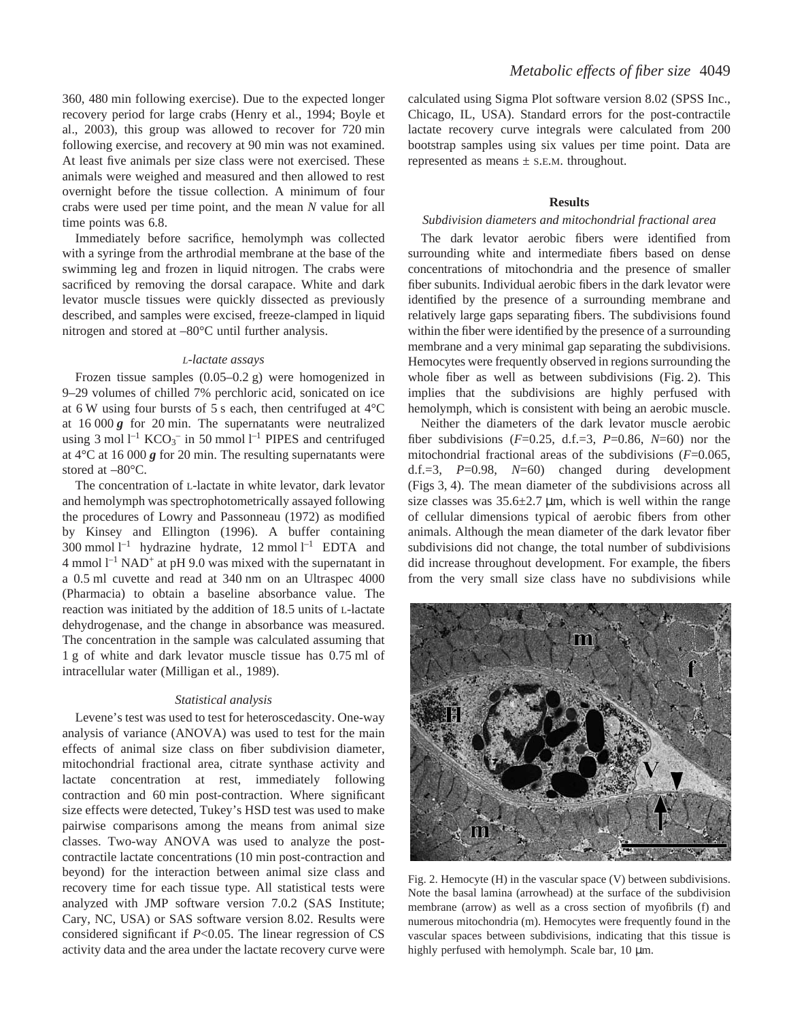360, 480 min following exercise). Due to the expected longer recovery period for large crabs (Henry et al., 1994; Boyle et al., 2003), this group was allowed to recover for 720 min following exercise, and recovery at 90 min was not examined. At least five animals per size class were not exercised. These animals were weighed and measured and then allowed to rest overnight before the tissue collection. A minimum of four crabs were used per time point, and the mean *N* value for all time points was 6.8.

Immediately before sacrifice, hemolymph was collected with a syringe from the arthrodial membrane at the base of the swimming leg and frozen in liquid nitrogen. The crabs were sacrificed by removing the dorsal carapace. White and dark levator muscle tissues were quickly dissected as previously described, and samples were excised, freeze-clamped in liquid nitrogen and stored at –80°C until further analysis.

#### *L-lactate assays*

Frozen tissue samples  $(0.05-0.2 \text{ g})$  were homogenized in 9–29 volumes of chilled 7% perchloric acid, sonicated on ice at 6 W using four bursts of 5 s each, then centrifuged at  $4^{\circ}C$ at  $16000g$  for 20 min. The supernatants were neutralized using 3 mol  $l^{-1}$  KCO<sub>3</sub><sup>-</sup> in 50 mmol  $l^{-1}$  PIPES and centrifuged at  $4^{\circ}$ C at 16 000  $g$  for 20 min. The resulting supernatants were stored at –80°C.

The concentration of L-lactate in white levator, dark levator and hemolymph was spectrophotometrically assayed following the procedures of Lowry and Passonneau (1972) as modified by Kinsey and Ellington (1996). A buffer containing 300 mmol  $l^{-1}$  hydrazine hydrate, 12 mmol  $l^{-1}$  EDTA and 4 mmol  $l^{-1}$  NAD<sup>+</sup> at pH 9.0 was mixed with the supernatant in a 0.5 ml cuvette and read at 340 nm on an Ultraspec 4000 (Pharmacia) to obtain a baseline absorbance value. The reaction was initiated by the addition of 18.5 units of L-lactate dehydrogenase, and the change in absorbance was measured. The concentration in the sample was calculated assuming that 1 g of white and dark levator muscle tissue has 0.75 ml of intracellular water (Milligan et al., 1989).

#### *Statistical analysis*

Levene's test was used to test for heteroscedascity. One-way analysis of variance (ANOVA) was used to test for the main effects of animal size class on fiber subdivision diameter, mitochondrial fractional area, citrate synthase activity and lactate concentration at rest, immediately following contraction and 60 min post-contraction. Where significant size effects were detected, Tukey's HSD test was used to make pairwise comparisons among the means from animal size classes. Two-way ANOVA was used to analyze the postcontractile lactate concentrations (10 min post-contraction and beyond) for the interaction between animal size class and recovery time for each tissue type. All statistical tests were analyzed with JMP software version 7.0.2 (SAS Institute; Cary, NC, USA) or SAS software version 8.02. Results were considered significant if *P*<0.05. The linear regression of CS activity data and the area under the lactate recovery curve were calculated using Sigma Plot software version 8.02 (SPSS Inc., Chicago, IL, USA). Standard errors for the post-contractile lactate recovery curve integrals were calculated from 200 bootstrap samples using six values per time point. Data are represented as means ± S.E.M. throughout.

# **Results**

### *Subdivision diameters and mitochondrial fractional area*

The dark levator aerobic fibers were identified from surrounding white and intermediate fibers based on dense concentrations of mitochondria and the presence of smaller fiber subunits. Individual aerobic fibers in the dark levator were identified by the presence of a surrounding membrane and relatively large gaps separating fibers. The subdivisions found within the fiber were identified by the presence of a surrounding membrane and a very minimal gap separating the subdivisions. Hemocytes were frequently observed in regions surrounding the whole fiber as well as between subdivisions (Fig. 2). This implies that the subdivisions are highly perfused with hemolymph, which is consistent with being an aerobic muscle.

Neither the diameters of the dark levator muscle aerobic fiber subdivisions (*F*=0.25, d.f.=3, *P*=0.86, *N*=60) nor the mitochondrial fractional areas of the subdivisions (*F*=0.065, d.f.=3, *P*=0.98, *N*=60) changed during development  $(Figs 3, 4)$ . The mean diameter of the subdivisions across all size classes was  $35.6\pm2.7 \,\mu m$ , which is well within the range of cellular dimensions typical of aerobic fibers from other animals. Although the mean diameter of the dark levator fiber subdivisions did not change, the total number of subdivisions did increase throughout development. For example, the fibers from the very small size class have no subdivisions while



Fig. 2. Hemocyte  $(H)$  in the vascular space  $(V)$  between subdivisions. Note the basal lamina (arrowhead) at the surface of the subdivision membrane (arrow) as well as a cross section of myofibrils (f) and numerous mitochondria (m). Hemocytes were frequently found in the vascular spaces between subdivisions, indicating that this tissue is highly perfused with hemolymph. Scale bar, 10  $\mu$ m.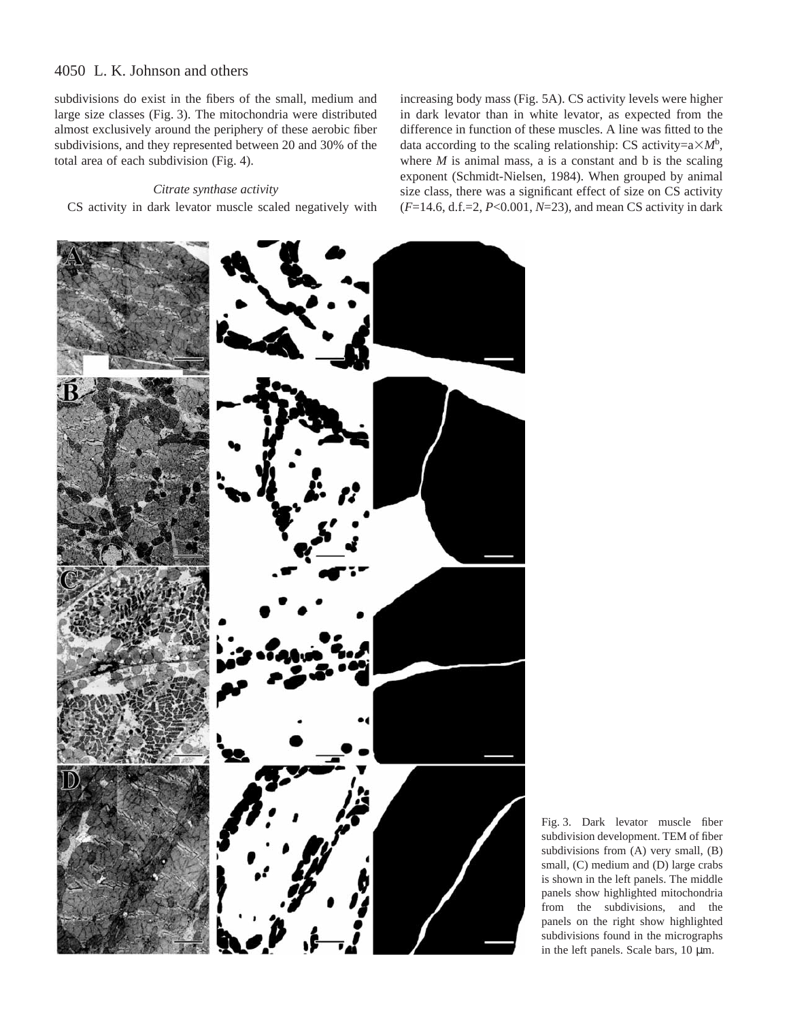subdivisions do exist in the fibers of the small, medium and large size classes (Fig. 3). The mitochondria were distributed almost exclusively around the periphery of these aerobic fiber subdivisions, and they represented between 20 and 30% of the total area of each subdivision (Fig. 4).

# *Citrate synthase activity*

CS activity in dark levator muscle scaled negatively with

increasing body mass (Fig. 5A). CS activity levels were higher in dark levator than in white levator, as expected from the difference in function of these muscles. A line was fitted to the data according to the scaling relationship: CS activity= $a \times M^b$ , where  $M$  is animal mass, a is a constant and  $b$  is the scaling exponent (Schmidt-Nielsen, 1984). When grouped by animal size class, there was a significant effect of size on CS activity (*F*=14.6, d.f.=2, *P*<0.001, *N*=23), and mean CS activity in dark



Fig. 3. Dark levator muscle fiber subdivision development. TEM of fiber subdivisions from (A) very small, (B) small, (C) medium and (D) large crabs is shown in the left panels. The middle panels show highlighted mitochondria from the subdivisions, and the panels on the right show highlighted subdivisions found in the micrographs in the left panels. Scale bars, 10 µm.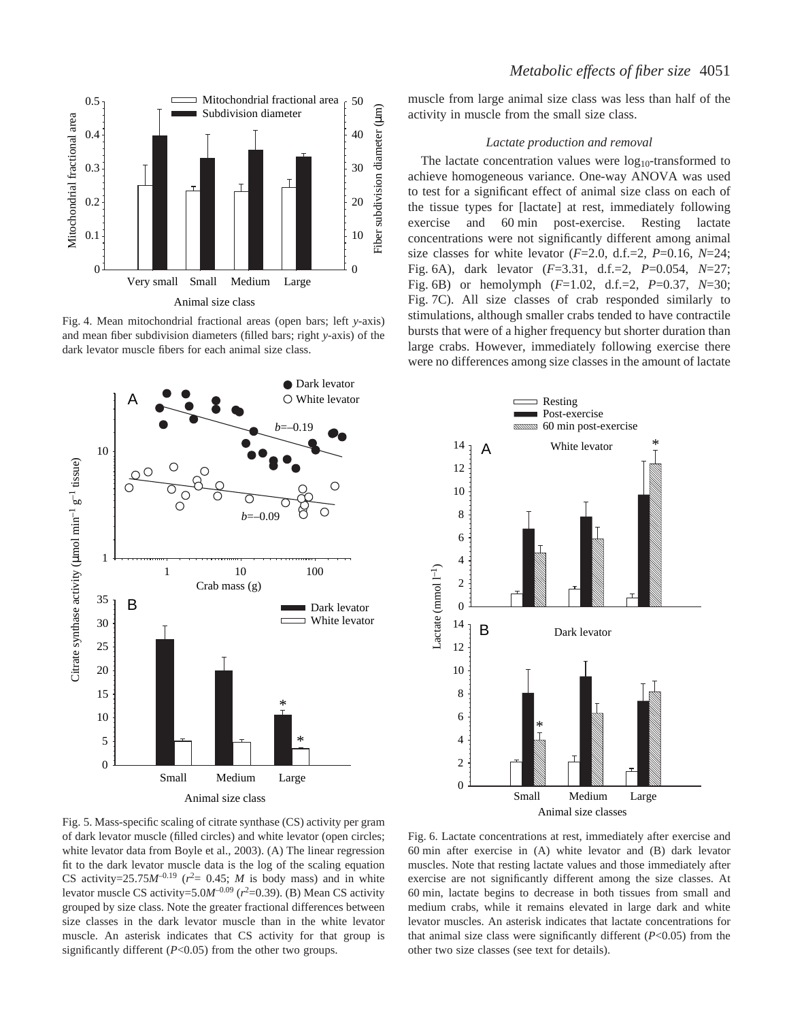

Fig. 4. Mean mitochondrial fractional areas (open bars; left *y*-axis) and mean fiber subdivision diameters (filled bars; right *y*-axis) of the dark levator muscle fibers for each animal size class.



muscle from large animal size class was less than half of the activity in muscle from the small size class.

### *Lactate production and removal*

The lactate concentration values were  $log_{10}$ -transformed to achieve homogeneous variance. One-way ANOVA was used to test for a significant effect of animal size class on each of the tissue types for [lactate] at rest, immediately following exercise and 60 min post-exercise. Resting lactate concentrations were not significantly different among animal size classes for white levator (*F*=2.0, d.f.=2, *P*=0.16, *N*=24; Fig.·6A), dark levator (*F*=3.31, d.f.=2, *P*=0.054, *N*=27; Fig.·6B) or hemolymph (*F*=1.02, d.f.=2, *P*=0.37, *N*=30; Fig. 7C). All size classes of crab responded similarly to stimulations, although smaller crabs tended to have contractile bursts that were of a higher frequency but shorter duration than large crabs. However, immediately following exercise there were no differences among size classes in the amount of lactate



Fig. 5. Mass-specific scaling of citrate synthase (CS) activity per gram of dark levator muscle (filled circles) and white levator (open circles; white levator data from Boyle et al., 2003). (A) The linear regression fit to the dark levator muscle data is the log of the scaling equation CS activity= $25.75M^{-0.19}$  ( $r^2 = 0.45$ ; *M* is body mass) and in white levator muscle CS activity=5.0*M*<sup>-0.09</sup> ( $r^2$ =0.39). (B) Mean CS activity grouped by size class. Note the greater fractional differences between size classes in the dark levator muscle than in the white levator muscle. An asterisk indicates that CS activity for that group is significantly different (*P*<0.05) from the other two groups.

Fig. 6. Lactate concentrations at rest, immediately after exercise and 60 min after exercise in  $(A)$  white levator and  $(B)$  dark levator muscles. Note that resting lactate values and those immediately after exercise are not significantly different among the size classes. At 60 min, lactate begins to decrease in both tissues from small and medium crabs, while it remains elevated in large dark and white levator muscles. An asterisk indicates that lactate concentrations for that animal size class were significantly different (*P*<0.05) from the other two size classes (see text for details).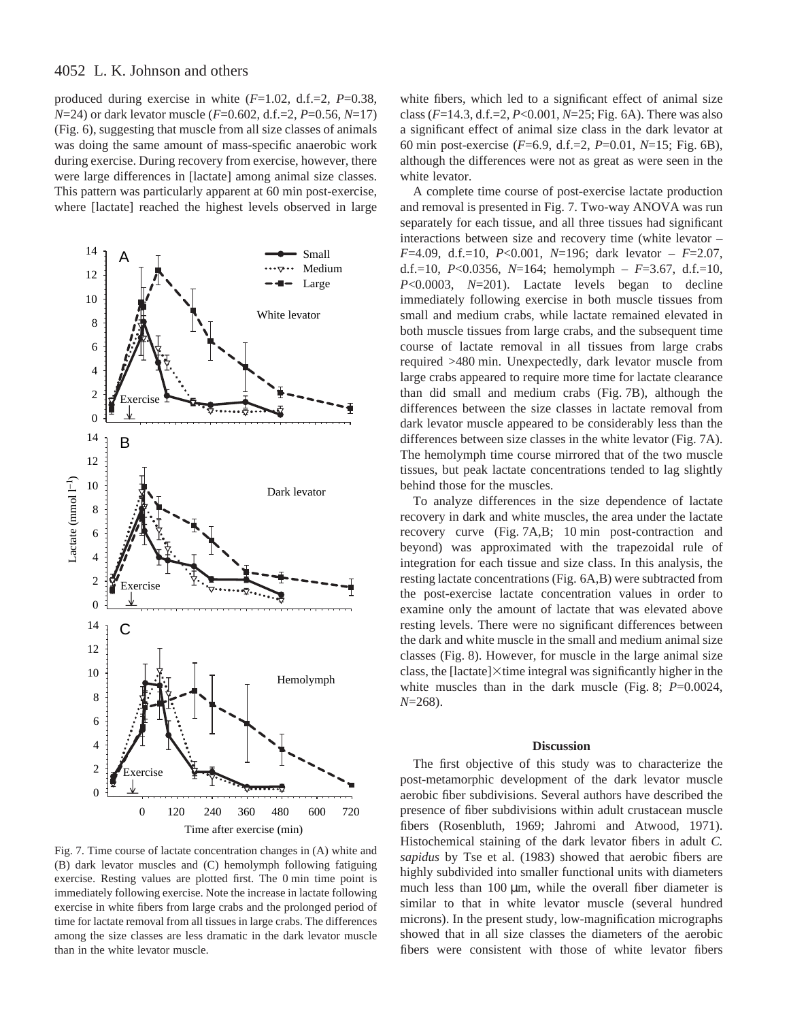produced during exercise in white (*F*=1.02, d.f.=2, *P*=0.38, *N*=24) or dark levator muscle (*F*=0.602, d.f.=2, *P*=0.56, *N*=17) (Fig. 6), suggesting that muscle from all size classes of animals was doing the same amount of mass-specific anaerobic work during exercise. During recovery from exercise, however, there were large differences in [lactate] among animal size classes. This pattern was particularly apparent at 60 min post-exercise, where [lactate] reached the highest levels observed in large



Fig. 7. Time course of lactate concentration changes in (A) white and (B) dark levator muscles and (C) hemolymph following fatiguing exercise. Resting values are plotted first. The 0 min time point is immediately following exercise. Note the increase in lactate following exercise in white fibers from large crabs and the prolonged period of time for lactate removal from all tissues in large crabs. The differences among the size classes are less dramatic in the dark levator muscle than in the white levator muscle.

white fibers, which led to a significant effect of animal size class  $(F=14.3, d.f.=2, P<0.001, N=25; Fig. 6A)$ . There was also a significant effect of animal size class in the dark levator at 60 min post-exercise  $(F=6.9, d.f.=2, P=0.01, N=15; Fig. 6B)$ , although the differences were not as great as were seen in the white levator.

A complete time course of post-exercise lactate production and removal is presented in Fig. 7. Two-way ANOVA was run separately for each tissue, and all three tissues had significant interactions between size and recovery time (white levator – *F*=4.09, d.f.=10, *P*<0.001, *N*=196; dark levator – *F*=2.07, d.f.=10, *P*<0.0356, *N*=164; hemolymph – *F*=3.67, d.f.=10, *P*<0.0003, *N*=201). Lactate levels began to decline immediately following exercise in both muscle tissues from small and medium crabs, while lactate remained elevated in both muscle tissues from large crabs, and the subsequent time course of lactate removal in all tissues from large crabs required >480 min. Unexpectedly, dark levator muscle from large crabs appeared to require more time for lactate clearance than did small and medium crabs  $(Fig. 7B)$ , although the differences between the size classes in lactate removal from dark levator muscle appeared to be considerably less than the differences between size classes in the white levator (Fig. 7A). The hemolymph time course mirrored that of the two muscle tissues, but peak lactate concentrations tended to lag slightly behind those for the muscles.

To analyze differences in the size dependence of lactate recovery in dark and white muscles, the area under the lactate recovery curve (Fig. 7A,B; 10 min post-contraction and beyond) was approximated with the trapezoidal rule of integration for each tissue and size class. In this analysis, the resting lactate concentrations (Fig. 6A,B) were subtracted from the post-exercise lactate concentration values in order to examine only the amount of lactate that was elevated above resting levels. There were no significant differences between the dark and white muscle in the small and medium animal size classes (Fig. 8). However, for muscle in the large animal size class, the [lactate] $\times$ time integral was significantly higher in the white muscles than in the dark muscle (Fig. 8;  $P=0.0024$ , *N*=268).

### **Discussion**

The first objective of this study was to characterize the post-metamorphic development of the dark levator muscle aerobic fiber subdivisions. Several authors have described the presence of fiber subdivisions within adult crustacean muscle fibers (Rosenbluth, 1969; Jahromi and Atwood, 1971). Histochemical staining of the dark levator fibers in adult *C. sapidus* by Tse et al. (1983) showed that aerobic fibers are highly subdivided into smaller functional units with diameters much less than  $100 \mu m$ , while the overall fiber diameter is similar to that in white levator muscle (several hundred microns). In the present study, low-magnification micrographs showed that in all size classes the diameters of the aerobic fibers were consistent with those of white levator fibers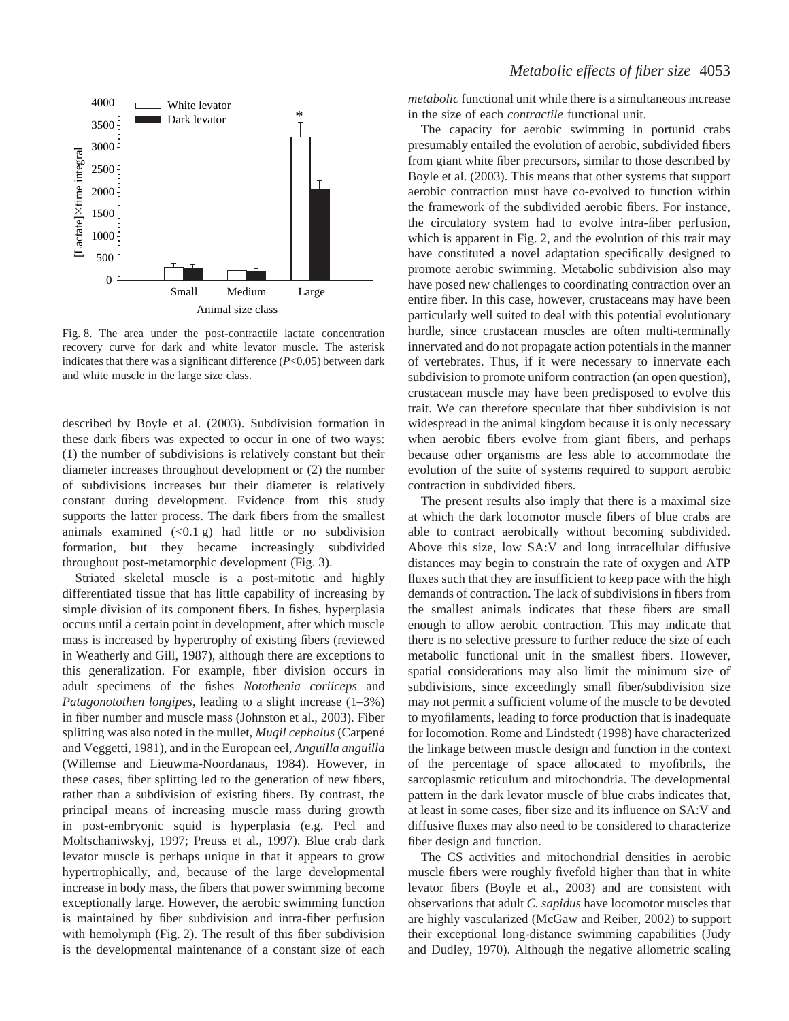

Fig. 8. The area under the post-contractile lactate concentration recovery curve for dark and white levator muscle. The asterisk indicates that there was a significant difference (*P*<0.05) between dark and white muscle in the large size class.

described by Boyle et al. (2003). Subdivision formation in these dark fibers was expected to occur in one of two ways: (1) the number of subdivisions is relatively constant but their diameter increases throughout development or (2) the number of subdivisions increases but their diameter is relatively constant during development. Evidence from this study supports the latter process. The dark fibers from the smallest animals examined  $( $0.1\text{ g}$ )$  had little or no subdivision formation, but they became increasingly subdivided throughout post-metamorphic development (Fig. 3).

Striated skeletal muscle is a post-mitotic and highly differentiated tissue that has little capability of increasing by simple division of its component fibers. In fishes, hyperplasia occurs until a certain point in development, after which muscle mass is increased by hypertrophy of existing fibers (reviewed in Weatherly and Gill, 1987), although there are exceptions to this generalization. For example, fiber division occurs in adult specimens of the fishes *Notothenia coriiceps* and *Patagonotothen longipes*, leading to a slight increase (1–3%) in fiber number and muscle mass (Johnston et al., 2003). Fiber splitting was also noted in the mullet, *Mugil cephalus* (Carpené and Veggetti, 1981), and in the European eel, *Anguilla anguilla* (Willemse and Lieuwma-Noordanaus, 1984). However, in these cases, fiber splitting led to the generation of new fibers, rather than a subdivision of existing fibers. By contrast, the principal means of increasing muscle mass during growth in post-embryonic squid is hyperplasia (e.g. Pecl and Moltschaniwskyj, 1997; Preuss et al., 1997). Blue crab dark levator muscle is perhaps unique in that it appears to grow hypertrophically, and, because of the large developmental increase in body mass, the fibers that power swimming become exceptionally large. However, the aerobic swimming function is maintained by fiber subdivision and intra-fiber perfusion with hemolymph (Fig. 2). The result of this fiber subdivision is the developmental maintenance of a constant size of each

# *Metabolic effects of fiber size* 4053

*metabolic* functional unit while there is a simultaneous increase in the size of each *contractile* functional unit.

The capacity for aerobic swimming in portunid crabs presumably entailed the evolution of aerobic, subdivided fibers from giant white fiber precursors, similar to those described by Boyle et al. (2003). This means that other systems that support aerobic contraction must have co-evolved to function within the framework of the subdivided aerobic fibers. For instance, the circulatory system had to evolve intra-fiber perfusion, which is apparent in Fig. 2, and the evolution of this trait may have constituted a novel adaptation specifically designed to promote aerobic swimming. Metabolic subdivision also may have posed new challenges to coordinating contraction over an entire fiber. In this case, however, crustaceans may have been particularly well suited to deal with this potential evolutionary hurdle, since crustacean muscles are often multi-terminally innervated and do not propagate action potentials in the manner of vertebrates. Thus, if it were necessary to innervate each subdivision to promote uniform contraction (an open question), crustacean muscle may have been predisposed to evolve this trait. We can therefore speculate that fiber subdivision is not widespread in the animal kingdom because it is only necessary when aerobic fibers evolve from giant fibers, and perhaps because other organisms are less able to accommodate the evolution of the suite of systems required to support aerobic contraction in subdivided fibers.

The present results also imply that there is a maximal size at which the dark locomotor muscle fibers of blue crabs are able to contract aerobically without becoming subdivided. Above this size, low SA:V and long intracellular diffusive distances may begin to constrain the rate of oxygen and ATP fluxes such that they are insufficient to keep pace with the high demands of contraction. The lack of subdivisions in fibers from the smallest animals indicates that these fibers are small enough to allow aerobic contraction. This may indicate that there is no selective pressure to further reduce the size of each metabolic functional unit in the smallest fibers. However, spatial considerations may also limit the minimum size of subdivisions, since exceedingly small fiber/subdivision size may not permit a sufficient volume of the muscle to be devoted to myofilaments, leading to force production that is inadequate for locomotion. Rome and Lindstedt (1998) have characterized the linkage between muscle design and function in the context of the percentage of space allocated to myofibrils, the sarcoplasmic reticulum and mitochondria. The developmental pattern in the dark levator muscle of blue crabs indicates that, at least in some cases, fiber size and its influence on SA:V and diffusive fluxes may also need to be considered to characterize fiber design and function.

The CS activities and mitochondrial densities in aerobic muscle fibers were roughly fivefold higher than that in white levator fibers (Boyle et al., 2003) and are consistent with observations that adult *C. sapidus* have locomotor muscles that are highly vascularized (McGaw and Reiber, 2002) to support their exceptional long-distance swimming capabilities (Judy and Dudley, 1970). Although the negative allometric scaling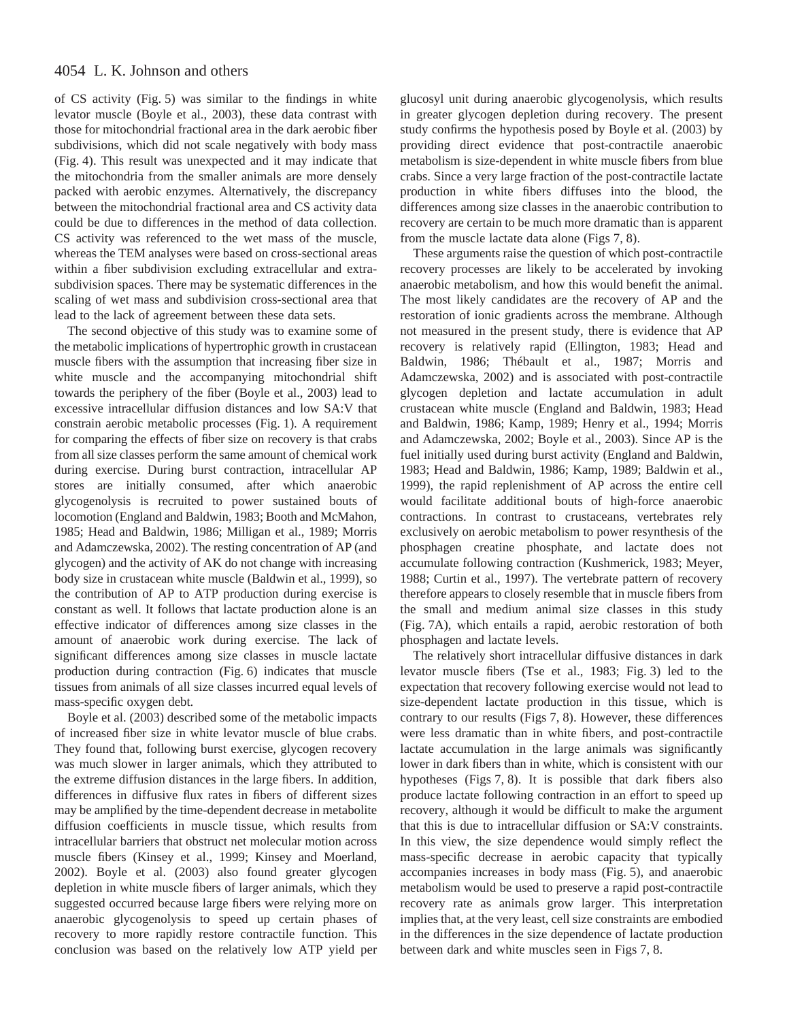of CS activity (Fig. 5) was similar to the findings in white levator muscle (Boyle et al., 2003), these data contrast with those for mitochondrial fractional area in the dark aerobic fiber subdivisions, which did not scale negatively with body mass (Fig. 4). This result was unexpected and it may indicate that the mitochondria from the smaller animals are more densely packed with aerobic enzymes. Alternatively, the discrepancy between the mitochondrial fractional area and CS activity data could be due to differences in the method of data collection. CS activity was referenced to the wet mass of the muscle, whereas the TEM analyses were based on cross-sectional areas within a fiber subdivision excluding extracellular and extrasubdivision spaces. There may be systematic differences in the scaling of wet mass and subdivision cross-sectional area that lead to the lack of agreement between these data sets.

The second objective of this study was to examine some of the metabolic implications of hypertrophic growth in crustacean muscle fibers with the assumption that increasing fiber size in white muscle and the accompanying mitochondrial shift towards the periphery of the fiber (Boyle et al., 2003) lead to excessive intracellular diffusion distances and low SA:V that constrain aerobic metabolic processes (Fig. 1). A requirement for comparing the effects of fiber size on recovery is that crabs from all size classes perform the same amount of chemical work during exercise. During burst contraction, intracellular AP stores are initially consumed, after which anaerobic glycogenolysis is recruited to power sustained bouts of locomotion (England and Baldwin, 1983; Booth and McMahon, 1985; Head and Baldwin, 1986; Milligan et al., 1989; Morris and Adamczewska, 2002). The resting concentration of AP (and glycogen) and the activity of AK do not change with increasing body size in crustacean white muscle (Baldwin et al., 1999), so the contribution of AP to ATP production during exercise is constant as well. It follows that lactate production alone is an effective indicator of differences among size classes in the amount of anaerobic work during exercise. The lack of significant differences among size classes in muscle lactate production during contraction (Fig. 6) indicates that muscle tissues from animals of all size classes incurred equal levels of mass-specific oxygen debt.

Boyle et al. (2003) described some of the metabolic impacts of increased fiber size in white levator muscle of blue crabs. They found that, following burst exercise, glycogen recovery was much slower in larger animals, which they attributed to the extreme diffusion distances in the large fibers. In addition, differences in diffusive flux rates in fibers of different sizes may be amplified by the time-dependent decrease in metabolite diffusion coefficients in muscle tissue, which results from intracellular barriers that obstruct net molecular motion across muscle fibers (Kinsey et al., 1999; Kinsey and Moerland, 2002). Boyle et al. (2003) also found greater glycogen depletion in white muscle fibers of larger animals, which they suggested occurred because large fibers were relying more on anaerobic glycogenolysis to speed up certain phases of recovery to more rapidly restore contractile function. This conclusion was based on the relatively low ATP yield per

glucosyl unit during anaerobic glycogenolysis, which results in greater glycogen depletion during recovery. The present study confirms the hypothesis posed by Boyle et al. (2003) by providing direct evidence that post-contractile anaerobic metabolism is size-dependent in white muscle fibers from blue crabs. Since a very large fraction of the post-contractile lactate production in white fibers diffuses into the blood, the differences among size classes in the anaerobic contribution to recovery are certain to be much more dramatic than is apparent from the muscle lactate data alone (Figs  $7, 8$ ).

These arguments raise the question of which post-contractile recovery processes are likely to be accelerated by invoking anaerobic metabolism, and how this would benefit the animal. The most likely candidates are the recovery of AP and the restoration of ionic gradients across the membrane. Although not measured in the present study, there is evidence that AP recovery is relatively rapid (Ellington, 1983; Head and Baldwin, 1986; Thébault et al., 1987; Morris and Adamczewska, 2002) and is associated with post-contractile glycogen depletion and lactate accumulation in adult crustacean white muscle (England and Baldwin, 1983; Head and Baldwin, 1986; Kamp, 1989; Henry et al., 1994; Morris and Adamczewska, 2002; Boyle et al., 2003). Since AP is the fuel initially used during burst activity (England and Baldwin, 1983; Head and Baldwin, 1986; Kamp, 1989; Baldwin et al., 1999), the rapid replenishment of AP across the entire cell would facilitate additional bouts of high-force anaerobic contractions. In contrast to crustaceans, vertebrates rely exclusively on aerobic metabolism to power resynthesis of the phosphagen creatine phosphate, and lactate does not accumulate following contraction (Kushmerick, 1983; Meyer, 1988; Curtin et al., 1997). The vertebrate pattern of recovery therefore appears to closely resemble that in muscle fibers from the small and medium animal size classes in this study (Fig. 7A), which entails a rapid, aerobic restoration of both phosphagen and lactate levels.

The relatively short intracellular diffusive distances in dark levator muscle fibers (Tse et al., 1983; Fig. 3) led to the expectation that recovery following exercise would not lead to size-dependent lactate production in this tissue, which is contrary to our results (Figs  $7, 8$ ). However, these differences were less dramatic than in white fibers, and post-contractile lactate accumulation in the large animals was significantly lower in dark fibers than in white, which is consistent with our hypotheses (Figs 7, 8). It is possible that dark fibers also produce lactate following contraction in an effort to speed up recovery, although it would be difficult to make the argument that this is due to intracellular diffusion or SA:V constraints. In this view, the size dependence would simply reflect the mass-specific decrease in aerobic capacity that typically accompanies increases in body mass (Fig. 5), and anaerobic metabolism would be used to preserve a rapid post-contractile recovery rate as animals grow larger. This interpretation implies that, at the very least, cell size constraints are embodied in the differences in the size dependence of lactate production between dark and white muscles seen in Figs 7, 8.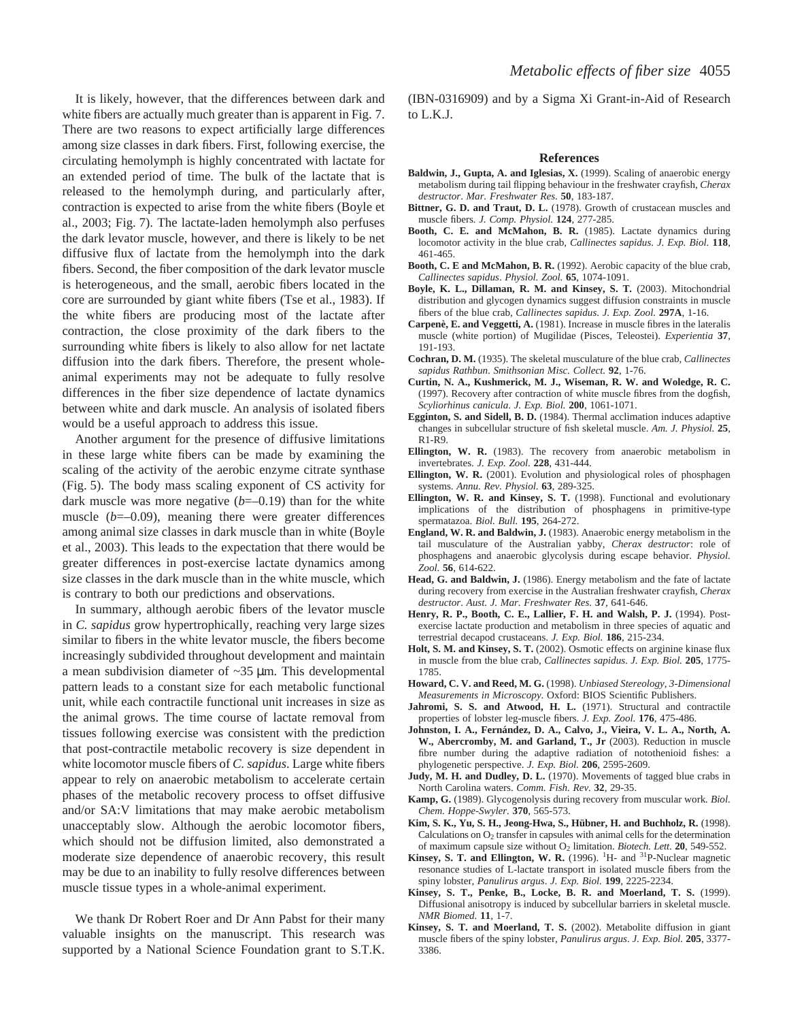It is likely, however, that the differences between dark and white fibers are actually much greater than is apparent in Fig. 7. There are two reasons to expect artificially large differences among size classes in dark fibers. First, following exercise, the circulating hemolymph is highly concentrated with lactate for an extended period of time. The bulk of the lactate that is released to the hemolymph during, and particularly after, contraction is expected to arise from the white fibers (Boyle et al., 2003; Fig. 7). The lactate-laden hemolymph also perfuses the dark levator muscle, however, and there is likely to be net diffusive flux of lactate from the hemolymph into the dark fibers. Second, the fiber composition of the dark levator muscle is heterogeneous, and the small, aerobic fibers located in the core are surrounded by giant white fibers (Tse et al., 1983). If the white fibers are producing most of the lactate after contraction, the close proximity of the dark fibers to the surrounding white fibers is likely to also allow for net lactate diffusion into the dark fibers. Therefore, the present wholeanimal experiments may not be adequate to fully resolve differences in the fiber size dependence of lactate dynamics between white and dark muscle. An analysis of isolated fibers would be a useful approach to address this issue.

Another argument for the presence of diffusive limitations in these large white fibers can be made by examining the scaling of the activity of the aerobic enzyme citrate synthase (Fig. 5). The body mass scaling exponent of CS activity for dark muscle was more negative  $(b=-0.19)$  than for the white muscle (*b*=–0.09), meaning there were greater differences among animal size classes in dark muscle than in white (Boyle et al., 2003). This leads to the expectation that there would be greater differences in post-exercise lactate dynamics among size classes in the dark muscle than in the white muscle, which is contrary to both our predictions and observations.

In summary, although aerobic fibers of the levator muscle in *C. sapidus* grow hypertrophically, reaching very large sizes similar to fibers in the white levator muscle, the fibers become increasingly subdivided throughout development and maintain a mean subdivision diameter of  $\sim$ 35  $\mu$ m. This developmental pattern leads to a constant size for each metabolic functional unit, while each contractile functional unit increases in size as the animal grows. The time course of lactate removal from tissues following exercise was consistent with the prediction that post-contractile metabolic recovery is size dependent in white locomotor muscle fibers of *C. sapidus*. Large white fibers appear to rely on anaerobic metabolism to accelerate certain phases of the metabolic recovery process to offset diffusive and/or SA:V limitations that may make aerobic metabolism unacceptably slow. Although the aerobic locomotor fibers, which should not be diffusion limited, also demonstrated a moderate size dependence of anaerobic recovery, this result may be due to an inability to fully resolve differences between muscle tissue types in a whole-animal experiment.

We thank Dr Robert Roer and Dr Ann Pabst for their many valuable insights on the manuscript. This research was supported by a National Science Foundation grant to S.T.K. (IBN-0316909) and by a Sigma Xi Grant-in-Aid of Research to L.K.J.

#### **References**

- Baldwin, J., Gupta, A. and Iglesias, X. (1999). Scaling of anaerobic energy metabolism during tail flipping behaviour in the freshwater crayfish, *Cherax destructor*. *Mar. Freshwater Res.* **50**, 183-187.
- **Bittner, G. D. and Traut, D. L.** (1978). Growth of crustacean muscles and muscle fibers*. J. Comp. Physiol.* **124**, 277-285.
- **Booth, C. E. and McMahon, B. R.** (1985). Lactate dynamics during locomotor activity in the blue crab, *Callinectes sapidus*. *J. Exp. Biol.* **118**, 461-465.
- **Booth, C. E and McMahon, B. R.** (1992). Aerobic capacity of the blue crab, *Callinectes sapidus*. *Physiol. Zool.* **65**, 1074-1091.
- **Boyle, K. L., Dillaman, R. M. and Kinsey, S. T***.* (2003). Mitochondrial distribution and glycogen dynamics suggest diffusion constraints in muscle fibers of the blue crab, *Callinectes sapidus*. *J. Exp. Zool.* **297A**, 1-16.
- **Carpenè, E. and Veggetti, A.** (1981). Increase in muscle fibres in the lateralis muscle (white portion) of Mugilidae (Pisces, Teleostei). *Experientia* **37**, 191-193.
- **Cochran, D. M.** (1935). The skeletal musculature of the blue crab, *Callinectes sapidus Rathbun*. *Smithsonian Misc. Collect.* **92**, 1-76.
- **Curtin, N. A., Kushmerick, M. J., Wiseman, R. W. and Woledge, R. C.** (1997). Recovery after contraction of white muscle fibres from the dogfish, *Scyliorhinus canicula*. *J. Exp. Biol.* **200**, 1061-1071.
- **Egginton, S. and Sidell, B. D.** (1984). Thermal acclimation induces adaptive changes in subcellular structure of fish skeletal muscle. *Am. J. Physiol.* **25**, R1-R9.
- **Ellington, W. R.** (1983). The recovery from anaerobic metabolism in invertebrates. *J. Exp. Zool.* **228**, 431-444.
- **Ellington, W. R.** (2001). Evolution and physiological roles of phosphagen systems. *Annu. Rev. Physiol.* **63**, 289-325.
- **Ellington, W. R. and Kinsey, S. T.** (1998). Functional and evolutionary implications of the distribution of phosphagens in primitive-type spermatazoa. *Biol. Bull.* **195**, 264-272.
- **England, W. R. and Baldwin, J.** (1983). Anaerobic energy metabolism in the tail musculature of the Australian yabby, *Cherax destructor*: role of phosphagens and anaerobic glycolysis during escape behavior. *Physiol. Zool.* **56**, 614-622.
- Head, G. and Baldwin, J. (1986). Energy metabolism and the fate of lactate during recovery from exercise in the Australian freshwater crayfish, *Cherax destructor*. *Aust. J. Mar. Freshwater Res.* **37**, 641-646.
- **Henry, R. P., Booth, C. E., Lallier, F. H. and Walsh, P. J.** (1994). Postexercise lactate production and metabolism in three species of aquatic and terrestrial decapod crustaceans. *J. Exp. Biol.* **186**, 215-234.
- Holt, S. M. and Kinsey, S. T. (2002). Osmotic effects on arginine kinase flux in muscle from the blue crab, *Callinectes sapidus*. *J. Exp. Biol.* **205**, 1775- 1785.
- **Howard, C. V. and Reed, M. G.** (1998). *Unbiased Stereology, 3-Dimensional Measurements in Microscopy*. Oxford: BIOS Scientific Publishers.
- Jahromi, S. S. and Atwood, H. L. (1971). Structural and contractile properties of lobster leg-muscle fibers. *J. Exp. Zool.* **176**, 475-486.
- **Johnston, I. A., Fernández, D. A., Calvo, J., Vieira, V. L. A., North, A. W., Abercromby, M. and Garland, T., Jr** (2003). Reduction in muscle fibre number during the adaptive radiation of notothenioid fishes: a phylogenetic perspective. *J. Exp. Biol.* **206**, 2595-2609.
- **Judy, M. H. and Dudley, D. L.** (1970). Movements of tagged blue crabs in North Carolina waters. *Comm. Fish. Rev.* **32**, 29-35.
- **Kamp, G.** (1989). Glycogenolysis during recovery from muscular work*. Biol. Chem. Hoppe-Swyler.* **370**, 565-573.
- **Kim, S. K., Yu, S. H., Jeong-Hwa, S., Hübner, H. and Buchholz, R.** (1998). Calculations on  $O_2$  transfer in capsules with animal cells for the determination of maximum capsule size without  $O_2$  limitation. *Biotech. Lett.* **20**, 549-552.
- Kinsey, S. T. and Ellington, W. R. (1996). <sup>1</sup>H- and <sup>31</sup>P-Nuclear magnetic resonance studies of L-lactate transport in isolated muscle fibers from the spiny lobster, *Panulirus argus*. *J. Exp. Biol.* **199**, 2225-2234.
- **Kinsey, S. T., Penke, B., Locke, B. R. and Moerland, T. S.** (1999). Diffusional anisotropy is induced by subcellular barriers in skeletal muscle. *NMR Biomed.* **11**, 1-7.
- **Kinsey, S. T. and Moerland, T. S.** (2002). Metabolite diffusion in giant muscle fibers of the spiny lobster, *Panulirus argus*. *J. Exp. Biol.* **205**, 3377- 3386.